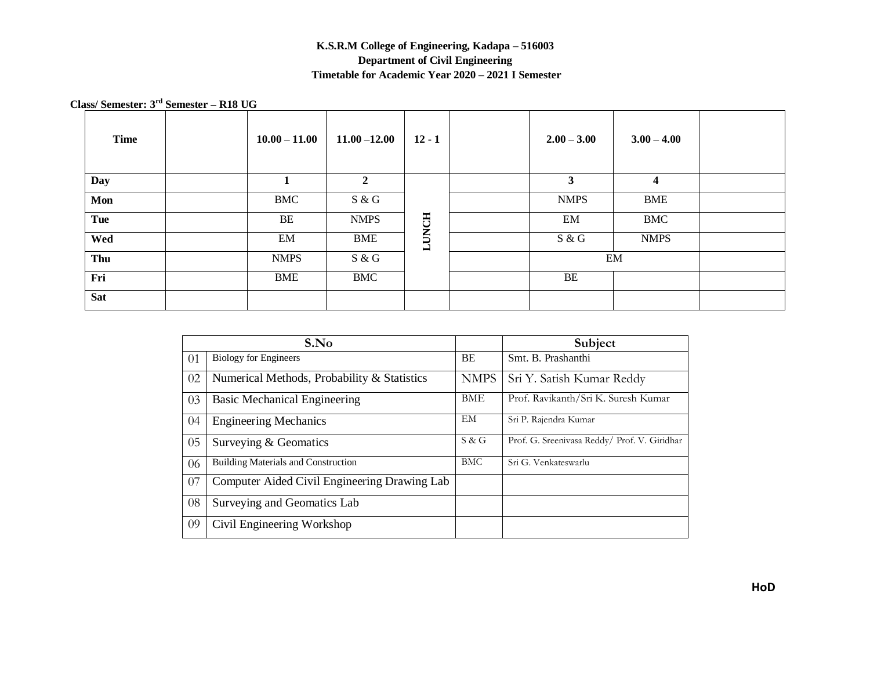## **K.S.R.M College of Engineering, Kadapa – 516003 Department of Civil Engineering Timetable for Academic Year 2020 – 2021 I Semester**

 **Class/ Semester: 3 rd Semester – R18 UG**

| <b>Time</b> | $10.00 - 11.00$ | $11.00 - 12.00$ | $12 - 1$     | $2.00 - 3.00$ | $3.00 - 4.00$ |  |
|-------------|-----------------|-----------------|--------------|---------------|---------------|--|
| <b>Day</b>  |                 | $\mathbf{2}$    |              | 3             | 4             |  |
| Mon         | <b>BMC</b>      | S & G           |              | <b>NMPS</b>   | <b>BME</b>    |  |
| Tue         | BE              | <b>NMPS</b>     |              | EM            | <b>BMC</b>    |  |
| Wed         | EM              | <b>BME</b>      | <b>LUNCH</b> | S & G         | <b>NMPS</b>   |  |
| Thu         | <b>NMPS</b>     | S & G           |              |               | EM            |  |
| Fri         | <b>BME</b>      | <b>BMC</b>      |              | BE            |               |  |
| <b>Sat</b>  |                 |                 |              |               |               |  |

|    | S.No                                         |             | Subject                                      |
|----|----------------------------------------------|-------------|----------------------------------------------|
| 01 | <b>Biology for Engineers</b>                 | BE          | Smt. B. Prashanthi                           |
| 02 | Numerical Methods, Probability & Statistics  | <b>NMPS</b> | Sri Y. Satish Kumar Reddy                    |
| 03 | <b>Basic Mechanical Engineering</b>          | BME         | Prof. Ravikanth/Sri K. Suresh Kumar          |
| 04 | <b>Engineering Mechanics</b>                 | EМ          | Sri P. Rajendra Kumar                        |
| 05 | Surveying & Geomatics                        | S & G       | Prof. G. Sreenivasa Reddy/ Prof. V. Giridhar |
| 06 | <b>Building Materials and Construction</b>   | <b>BMC</b>  | Sri G. Venkateswarlu                         |
| 07 | Computer Aided Civil Engineering Drawing Lab |             |                                              |
| 08 | Surveying and Geomatics Lab                  |             |                                              |
| 09 | Civil Engineering Workshop                   |             |                                              |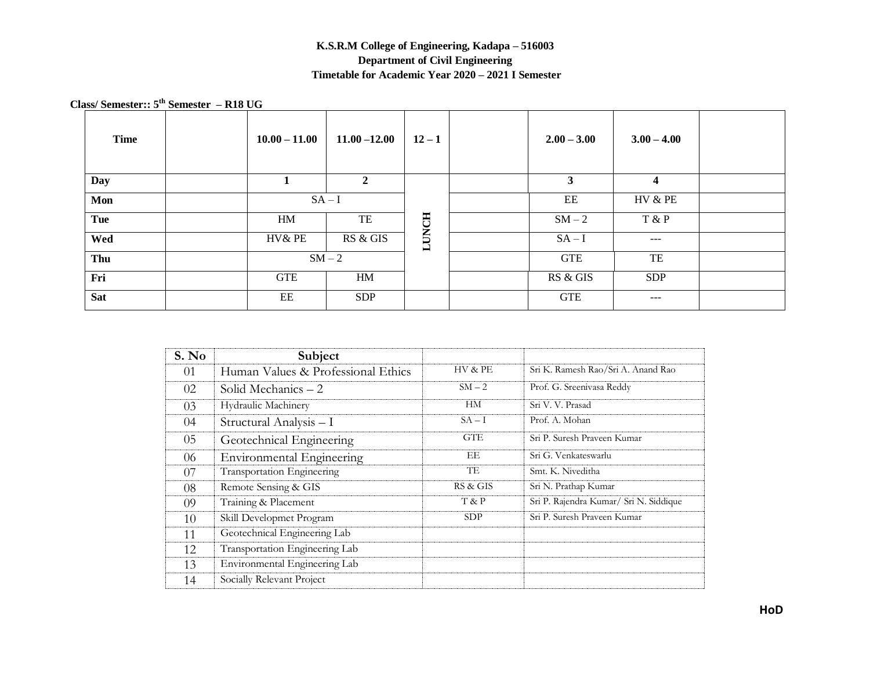## **K.S.R.M College of Engineering, Kadapa – 516003 Department of Civil Engineering Timetable for Academic Year 2020 – 2021 I Semester**

 **Class/ Semester:: 5 th Semester – R18 UG** 

| <b>Time</b> | $10.00 - 11.00$ | $11.00 - 12.00$ | $12 - 1$     | $2.00 - 3.00$ | $3.00 - 4.00$ |       |  |
|-------------|-----------------|-----------------|--------------|---------------|---------------|-------|--|
| Day         | -1.             | $\overline{2}$  |              | $\mathbf{3}$  | 4             |       |  |
| Mon         | $SA-I$          |                 |              | EE            | HV & PE       |       |  |
| Tue         | HM              | TE              |              |               | $SM-2$        | T & P |  |
| Wed         | HV& PE          | RS & GIS        | <b>LUNCH</b> | $SA-I$        | $---$         |       |  |
| Thu         | $SM-2$          |                 |              | <b>GTE</b>    | TE            |       |  |
| Fri         | <b>GTE</b>      | HM              |              | RS & GIS      | <b>SDP</b>    |       |  |
| <b>Sat</b>  | EE              | <b>SDP</b>      |              | <b>GTE</b>    | $---$         |       |  |

| S. No | Subject                            |            |                                        |
|-------|------------------------------------|------------|----------------------------------------|
| 01    | Human Values & Professional Ethics | HV & PE    | Sri K. Ramesh Rao/Sri A. Anand Rao     |
| 02    | Solid Mechanics $-2$               | $SM-2$     | Prof. G. Sreenivasa Reddy              |
| 03    | Hydraulic Machinery                | HM         | Sri V. V. Prasad                       |
| 04    | Structural Analysis - I            | $SA-I$     | Prof. A. Mohan                         |
| 05    | Geotechnical Engineering           | <b>GTE</b> | Sri P. Suresh Praveen Kumar            |
| 06    | <b>Environmental Engineering</b>   | EЕ         | Sri G. Venkateswarlu                   |
| 07    | Transportation Engineering         | TE         | Smt. K. Niveditha                      |
| 08    | Remote Sensing & GIS               | RS & GIS   | Sri N. Prathap Kumar                   |
| 09    | Training & Placement               | T & P      | Sri P. Rajendra Kumar/ Sri N. Siddique |
| 10    | Skill Developmet Program           | SDP        | Sri P. Suresh Praveen Kumar            |
| 11    | Geotechnical Engineering Lab       |            |                                        |
| 12    | Transportation Engineering Lab     |            |                                        |
| 13    | Environmental Engineering Lab      |            |                                        |
| 14    | Socially Relevant Project          |            |                                        |